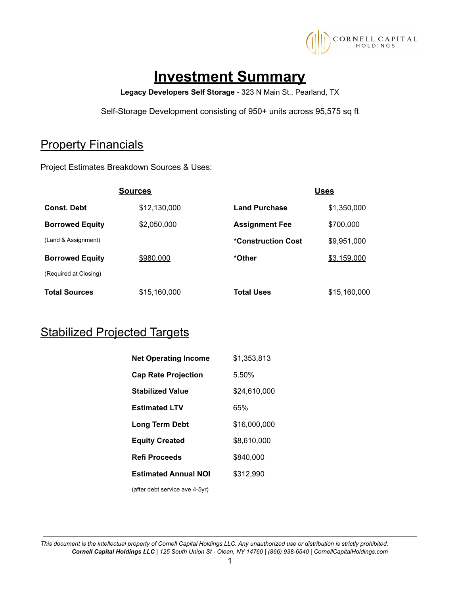

# **Investment Summary**

**Legacy Developers Self Storage** - 323 N Main St., Pearland, TX

Self-Storage Development consisting of 950+ units across 95,575 sq ft

## **Property Financials**

Project Estimates Breakdown Sources & Uses:

|                        | <b>Sources</b> |                       | <b>Uses</b>  |
|------------------------|----------------|-----------------------|--------------|
| <b>Const. Debt</b>     | \$12,130,000   | <b>Land Purchase</b>  | \$1,350,000  |
| <b>Borrowed Equity</b> | \$2,050,000    | <b>Assignment Fee</b> | \$700,000    |
| (Land & Assignment)    |                | *Construction Cost    | \$9,951,000  |
| <b>Borrowed Equity</b> | \$980,000      | *Other                | \$3.159.000  |
| (Required at Closing)  |                |                       |              |
| <b>Total Sources</b>   | \$15,160,000   | <b>Total Uses</b>     | \$15,160,000 |

## **Stabilized Projected Targets**

| <b>Net Operating Income</b>    | \$1,353,813  |
|--------------------------------|--------------|
| <b>Cap Rate Projection</b>     | 5.50%        |
| <b>Stabilized Value</b>        | \$24.610.000 |
| <b>Estimated LTV</b>           | 65%          |
| Long Term Debt                 | \$16,000,000 |
| <b>Equity Created</b>          | \$8.610.000  |
| <b>Refi Proceeds</b>           | \$840,000    |
| <b>Estimated Annual NOI</b>    | \$312.990    |
| (after debt service ave 4-5yr) |              |

This document is the intellectual property of Cornell Capital Holdings LLC. Any unauthorized use or distribution is strictly prohibited. Cornell Capital Holdings LLC | 125 South Union St - Olean, NY 14760 | (866) 938-6540 | CornellCapitalHoldings.com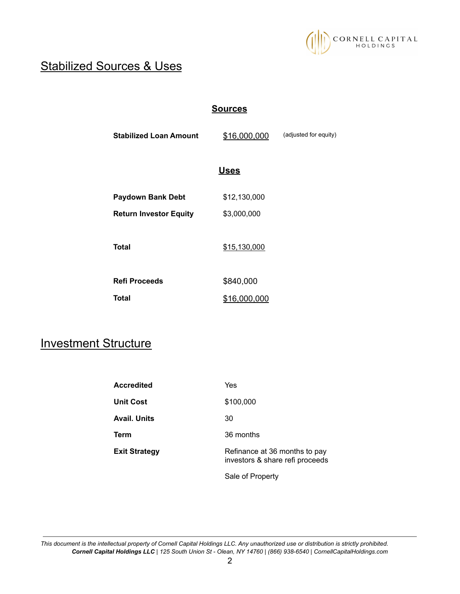

## Stabilized Sources & Uses

#### **Sources**

| <b>Stabilized Loan Amount</b> | \$16,000,000 | (adjusted for equity) |
|-------------------------------|--------------|-----------------------|
|                               | <b>Uses</b>  |                       |
| <b>Paydown Bank Debt</b>      | \$12,130,000 |                       |
| <b>Return Investor Equity</b> | \$3,000,000  |                       |
| Total                         | \$15,130,000 |                       |
| <b>Refi Proceeds</b>          | \$840,000    |                       |
| Total                         | \$16,000,000 |                       |

## Investment Structure

| <b>Accredited</b>    | Yes                                                              |
|----------------------|------------------------------------------------------------------|
| Unit Cost            | \$100,000                                                        |
| Avail. Units         | 30                                                               |
| Term                 | 36 months                                                        |
| <b>Exit Strategy</b> | Refinance at 36 months to pay<br>investors & share refi proceeds |

Sale of Property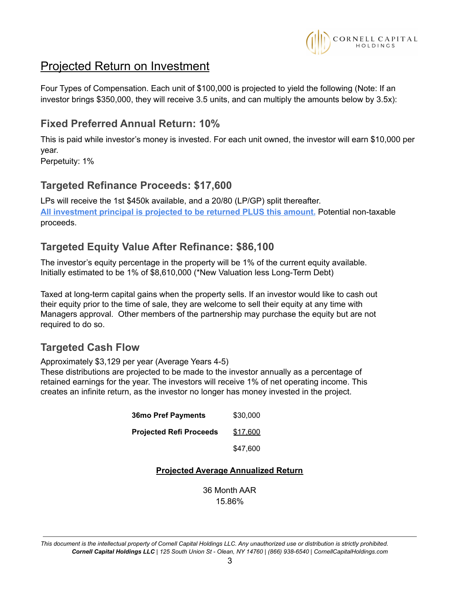

## Projected Return on Investment

Four Types of Compensation. Each unit of \$100,000 is projected to yield the following (Note: If an investor brings \$350,000, they will receive 3.5 units, and can multiply the amounts below by 3.5x):

### **Fixed Preferred Annual Return: 10%**

This is paid while investor's money is invested. For each unit owned, the investor will earn \$10,000 per year.

Perpetuity: 1%

### **Targeted Refinance Proceeds: \$17,600**

LPs will receive the 1st \$450k available, and a 20/80 (LP/GP) split thereafter. **All investment principal is projected to be returned PLUS this amount.** Potential non-taxable proceeds.

### **Targeted Equity Value After Refinance: \$86,100**

The investor's equity percentage in the property will be 1% of the current equity available. Initially estimated to be 1% of \$8,610,000 (\*New Valuation less Long-Term Debt)

Taxed at long-term capital gains when the property sells. If an investor would like to cash out their equity prior to the time of sale, they are welcome to sell their equity at any time with Managers approval. Other members of the partnership may purchase the equity but are not required to do so.

### **Targeted Cash Flow**

Approximately \$3,129 per year (Average Years 4-5)

These distributions are projected to be made to the investor annually as a percentage of retained earnings for the year. The investors will receive 1% of net operating income. This creates an infinite return, as the investor no longer has money invested in the project.

| <b>Projected Refi Proceeds</b><br>\$17,600 |
|--------------------------------------------|

#### **Projected Average Annualized Return**

36 Month AAR 15.86%

This document is the intellectual property of Cornell Capital Holdings LLC. Any unauthorized use or distribution is strictly prohibited. Cornell Capital Holdings LLC | 125 South Union St - Olean, NY 14760 | (866) 938-6540 | CornellCapitalHoldings.com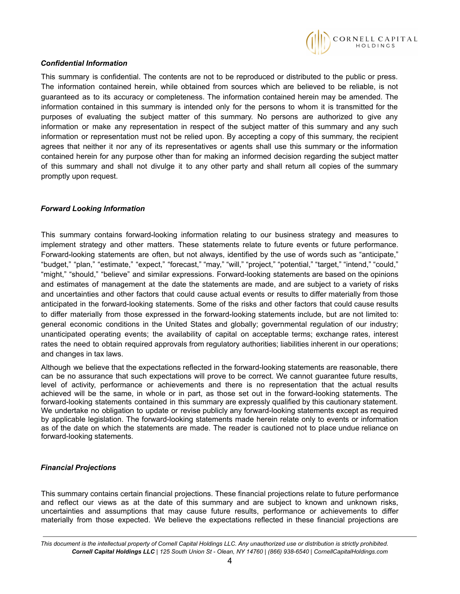

#### *Confidential Information*

This summary is confidential. The contents are not to be reproduced or distributed to the public or press. The information contained herein, while obtained from sources which are believed to be reliable, is not guaranteed as to its accuracy or completeness. The information contained herein may be amended. The information contained in this summary is intended only for the persons to whom it is transmitted for the purposes of evaluating the subject matter of this summary. No persons are authorized to give any information or make any representation in respect of the subject matter of this summary and any such information or representation must not be relied upon. By accepting a copy of this summary, the recipient agrees that neither it nor any of its representatives or agents shall use this summary or the information contained herein for any purpose other than for making an informed decision regarding the subject matter of this summary and shall not divulge it to any other party and shall return all copies of the summary promptly upon request.

#### *Forward Looking Information*

This summary contains forward-looking information relating to our business strategy and measures to implement strategy and other matters. These statements relate to future events or future performance. Forward-looking statements are often, but not always, identified by the use of words such as "anticipate," "budget," "plan," "estimate," "expect," "forecast," "may," "will," "project," "potential," "target," "intend," "could," "might," "should," "believe" and similar expressions. Forward-looking statements are based on the opinions and estimates of management at the date the statements are made, and are subject to a variety of risks and uncertainties and other factors that could cause actual events or results to differ materially from those anticipated in the forward-looking statements. Some of the risks and other factors that could cause results to differ materially from those expressed in the forward-looking statements include, but are not limited to: general economic conditions in the United States and globally; governmental regulation of our industry; unanticipated operating events; the availability of capital on acceptable terms; exchange rates, interest rates the need to obtain required approvals from regulatory authorities; liabilities inherent in our operations; and changes in tax laws.

Although we believe that the expectations reflected in the forward-looking statements are reasonable, there can be no assurance that such expectations will prove to be correct. We cannot guarantee future results, level of activity, performance or achievements and there is no representation that the actual results achieved will be the same, in whole or in part, as those set out in the forward-looking statements. The forward-looking statements contained in this summary are expressly qualified by this cautionary statement. We undertake no obligation to update or revise publicly any forward-looking statements except as required by applicable legislation. The forward-looking statements made herein relate only to events or information as of the date on which the statements are made. The reader is cautioned not to place undue reliance on forward-looking statements.

#### *Financial Projections*

This summary contains certain financial projections. These financial projections relate to future performance and reflect our views as at the date of this summary and are subject to known and unknown risks, uncertainties and assumptions that may cause future results, performance or achievements to differ materially from those expected. We believe the expectations reflected in these financial projections are

This document is the intellectual property of Cornell Capital Holdings LLC. Any unauthorized use or distribution is strictly prohibited. Cornell Capital Holdings LLC | 125 South Union St - Olean, NY 14760 | (866) 938-6540 | CornellCapitalHoldings.com